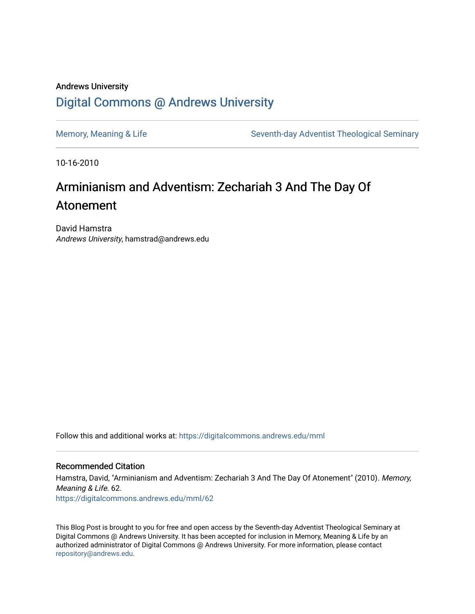### Andrews University [Digital Commons @ Andrews University](https://digitalcommons.andrews.edu/)

[Memory, Meaning & Life](https://digitalcommons.andrews.edu/mml) Seventh-day Adventist Theological Seminary

10-16-2010

## Arminianism and Adventism: Zechariah 3 And The Day Of Atonement

David Hamstra Andrews University, hamstrad@andrews.edu

Follow this and additional works at: [https://digitalcommons.andrews.edu/mml](https://digitalcommons.andrews.edu/mml?utm_source=digitalcommons.andrews.edu%2Fmml%2F62&utm_medium=PDF&utm_campaign=PDFCoverPages) 

#### Recommended Citation

Hamstra, David, "Arminianism and Adventism: Zechariah 3 And The Day Of Atonement" (2010). Memory, Meaning & Life. 62. [https://digitalcommons.andrews.edu/mml/62](https://digitalcommons.andrews.edu/mml/62?utm_source=digitalcommons.andrews.edu%2Fmml%2F62&utm_medium=PDF&utm_campaign=PDFCoverPages)

This Blog Post is brought to you for free and open access by the Seventh-day Adventist Theological Seminary at Digital Commons @ Andrews University. It has been accepted for inclusion in Memory, Meaning & Life by an authorized administrator of Digital Commons @ Andrews University. For more information, please contact [repository@andrews.edu](mailto:repository@andrews.edu).